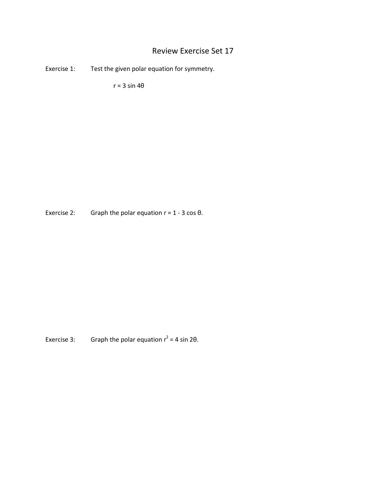# Review Exercise Set 17

Exercise 1: Test the given polar equation for symmetry.

 $r = 3 \sin 4\theta$ 

Exercise 2: Graph the polar equation  $r = 1 - 3 \cos \theta$ .

Exercise 3: Graph the polar equation  $r^2 = 4 \sin 2\theta$ .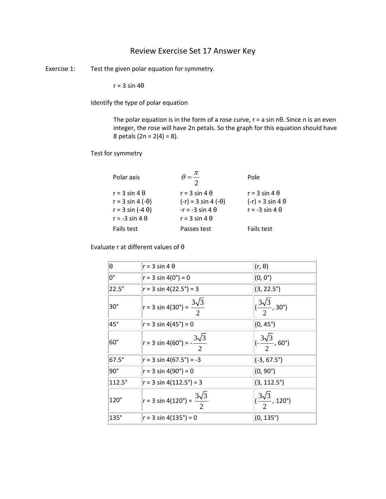## Review Exercise Set 17 Answer Key

Exercise 1: Test the given polar equation for symmetry.

 $r = 3 \sin 4\theta$ 

Identify the type of polar equation

The polar equation is in the form of a rose curve,  $r = a \sin n\theta$ . Since n is an even integer, the rose will have 2n petals. So the graph for this equation should have 8 petals (2n =  $2(4) = 8$ ).

Test for symmetry

| Polar axis               |                             | Pole                     |
|--------------------------|-----------------------------|--------------------------|
| $r = 3 \sin 4 \theta$    | $r = 3 \sin 4 \theta$       | $r = 3 \sin 4 \theta$    |
| $r = 3 \sin 4 (-\theta)$ | $(-r) = 3 \sin 4 (-\theta)$ | $(-r) = 3 \sin 4 \theta$ |
| $r = 3 \sin (-4 \theta)$ | $-r = -3 \sin 4 \theta$     | $r = -3 \sin 4 \theta$   |
| $r = -3 \sin 4 \theta$   | $r = 3 \sin 4 \theta$       |                          |
| Fails test               | Passes test                 | Fails test               |

Evaluate r at different values of θ

| θ              | $r = 3 \sin 4 \theta$                            | $(r, \theta)$                                     |
|----------------|--------------------------------------------------|---------------------------------------------------|
| 0°             | $r = 3 \sin 4(0^\circ) = 0$                      | $(0, 0^{\circ})$                                  |
| $22.5^\circ$   | $r = 3 \sin 4(22.5^\circ) = 3$                   | $(3, 22.5^{\circ})$                               |
| $30^\circ$     | $r = 3 \sin 4(30^\circ) = \frac{3\sqrt{3}}{2}$   | $\sqrt{\frac{3\sqrt{3}}{2}}$ , 30°)               |
| $45^{\circ}$   | $r = 3 \sin 4(45^\circ) = 0$                     | $(0, 45^{\circ})$                                 |
| $60^\circ$     | $r = 3 \sin 4(60^\circ) = -\frac{3\sqrt{3}}{2}$  | $\left (-\frac{3\sqrt{3}}{2}, 60^{\circ})\right $ |
| $67.5^\circ$   | $ r = 3 \sin 4(67.5^\circ) = -3$                 | $(-3, 67.5^{\circ})$                              |
| $ 90^{\circ} $ | $r = 3 \sin 4(90^\circ) = 0$                     | $(0, 90^{\circ})$                                 |
| 112.5°         | $r = 3 \sin 4(112.5^\circ) = 3$                  | $(3, 112.5^{\circ})$                              |
| $120^\circ$    | $ r = 3 \sin 4(120^\circ) = \frac{3\sqrt{3}}{2}$ | $\sqrt{\frac{3\sqrt{3}}{2}}$ , 120°)              |
| $135^\circ$    | $r = 3 \sin 4(135^\circ) = 0$                    | $(0, 135^{\circ})$                                |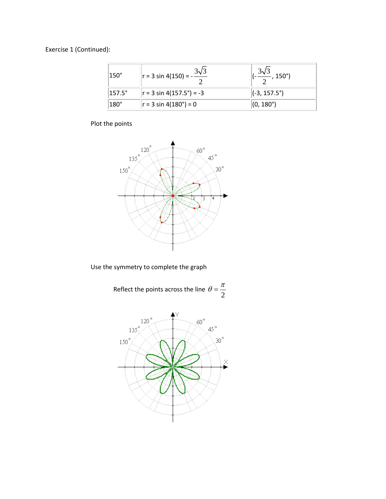Exercise 1 (Continued):

| $ 150^\circ$   | $\ln r = 3 \sin 4(150) = -\frac{3\sqrt{3}}{2}$ | , $150^\circ$ )       |
|----------------|------------------------------------------------|-----------------------|
| $ 157.5^\circ$ | $ r = 3 \sin 4(157.5^\circ) = -3$              | $(-3, 157.5^{\circ})$ |
| $ 180^\circ$   | $ r = 3 \sin 4(180^\circ) = 0$                 | $(0, 180^{\circ})$    |

# Plot the points



Use the symmetry to complete the graph

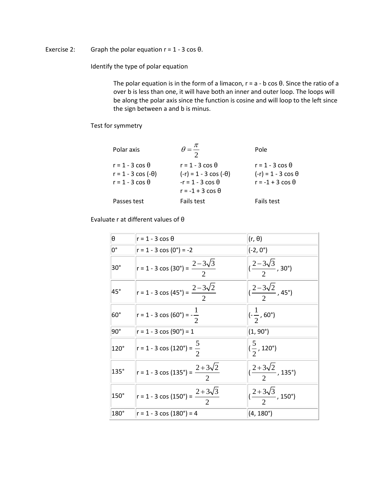#### Exercise 2: Graph the polar equation  $r = 1 - 3 \cos \theta$ .

Identify the type of polar equation

The polar equation is in the form of a limacon,  $r = a - b \cos \theta$ . Since the ratio of a over b is less than one, it will have both an inner and outer loop. The loops will be along the polar axis since the function is cosine and will loop to the left since the sign between a and b is minus.

#### Test for symmetry

| Polar axis                 |                               | Pole                       |
|----------------------------|-------------------------------|----------------------------|
| $r = 1 - 3 \cos \theta$    | $r = 1 - 3 \cos \theta$       | $r = 1 - 3 \cos \theta$    |
| $r = 1 - 3 \cos (-\theta)$ | $(-r) = 1 - 3 \cos (-\theta)$ | $(-r) = 1 - 3 \cos \theta$ |
| $r = 1 - 3 \cos \theta$    | $-r = 1 - 3 \cos \theta$      | $r = -1 + 3 \cos \theta$   |
|                            | $r = -1 + 3 \cos \theta$      |                            |
| Passes test                | Fails test                    | Fails test                 |

#### Evaluate r at different values of θ

| θ            | $r = 1 - 3 \cos \theta$                               | $(r, \theta)$                                                     |
|--------------|-------------------------------------------------------|-------------------------------------------------------------------|
| 0°           | $r = 1 - 3 \cos(0^\circ) = -2$                        | $(-2, 0^{\circ})$                                                 |
| $30^\circ$   | $r = 1 - 3 \cos(30^\circ) = \frac{2 - 3\sqrt{3}}{2}$  | $\left  \left( \frac{2-3\sqrt{3}}{2}, 30^{\circ} \right) \right $ |
| $45^{\circ}$ | $ r = 1 - 3 \cos(45^\circ) = \frac{2 - 3\sqrt{2}}{2}$ | $\left  \left( \frac{2-3\sqrt{2}}{2}, 45^{\circ} \right) \right $ |
| $60^\circ$   | r = 1 - 3 cos (60°) = $-\frac{1}{2}$                  | $(-\frac{1}{2}, 60^{\circ})$                                      |
| $90^\circ$   | $r = 1 - 3 \cos(90^\circ) = 1$                        | $(1, 90^{\circ})$                                                 |
| $120^\circ$  | $r = 1 - 3 \cos(120^\circ) = \frac{5}{2}$             | $\left (\frac{5}{2}, 120^{\circ})\right $                         |
| 135°         | $r = 1 - 3 \cos(135^\circ) = \frac{2 + 3\sqrt{2}}{2}$ | $\sqrt{(2+3\sqrt{2})}$ , 135°)                                    |
| $150^\circ$  | $r = 1 - 3 \cos(150^\circ) = \frac{2 + 3\sqrt{3}}{2}$ | $\sqrt{(2+3\sqrt{3})}$ , 150°)                                    |
| 180°         | $r = 1 - 3 \cos(180^\circ) = 4$                       | $(4, 180^{\circ})$                                                |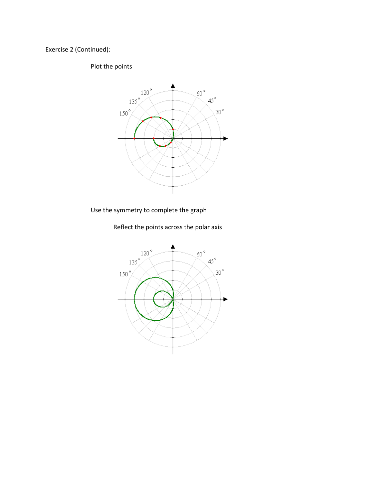Exercise 2 (Continued):

### Plot the points



Use the symmetry to complete the graph

Reflect the points across the polar axis

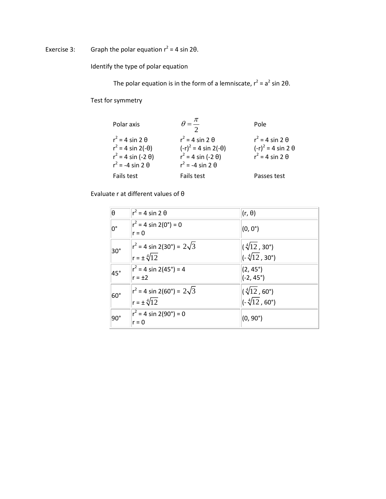# Exercise 3: Graph the polar equation  $r^2 = 4 \sin 2\theta$ .

Identify the type of polar equation

The polar equation is in the form of a lemniscate,  $r^2 = a^2 \sin 2\theta$ .

Test for symmetry

| Polar axis                                                                                                       |                                                                                                                     | Pole                                                                               |
|------------------------------------------------------------------------------------------------------------------|---------------------------------------------------------------------------------------------------------------------|------------------------------------------------------------------------------------|
| $r^2$ = 4 sin 2 $\theta$<br>$r^2 = 4 \sin 2(-\theta)$<br>$r^2 = 4 \sin (-2 \theta)$<br>$r^2$ = -4 sin 2 $\theta$ | $r^2$ = 4 sin 2 $\theta$<br>$(-r)^2 = 4 \sin 2(-\theta)$<br>$r^2 = 4 \sin (-2 \theta)$<br>$r^2$ = -4 sin 2 $\theta$ | $r^2$ = 4 sin 2 $\theta$<br>$(-r)^2 = 4 \sin 2 \theta$<br>$r^2$ = 4 sin 2 $\theta$ |
| Fails test                                                                                                       | Fails test                                                                                                          | Passes test                                                                        |

Evaluate r at different values of θ

| $ \theta\>$   | $r^2$ = 4 sin 2 $\theta$                                          | $(r, \theta)$                                                            |
|---------------|-------------------------------------------------------------------|--------------------------------------------------------------------------|
| $0^{\circ}$   | $ r^2 = 4 \sin 2(0^\circ) = 0$<br>$r = 0$                         | $(0, 0^{\circ})$                                                         |
| $30^\circ$    | $ r^2 = 4 \sin 2(30^\circ) = 2\sqrt{3}$<br>$r = \pm \sqrt[4]{12}$ | $(\sqrt[4]{12}, 30^{\circ})$<br>$\left(-\sqrt[4]{12}, 30^{\circ}\right)$ |
| $45^\circ$    | $ r^2 = 4 \sin 2(45^\circ) = 4$<br>$r = \pm 2$                    | $(2, 45^{\circ})$<br>$(-2, 45^{\circ})$                                  |
| $60^\circ$    | $r^2$ = 4 sin 2(60°) = 2 $\sqrt{3}$<br>$r = \pm \sqrt[4]{12}$     | $(\sqrt[4]{12}, 60^{\circ})$<br>$(-\sqrt[4]{12}, 60^{\circ})$            |
| $ 90^{\circ}$ | $ r^2 = 4 \sin 2(90^\circ) = 0$<br>$r = 0$                        | $(0, 90^{\circ})$                                                        |